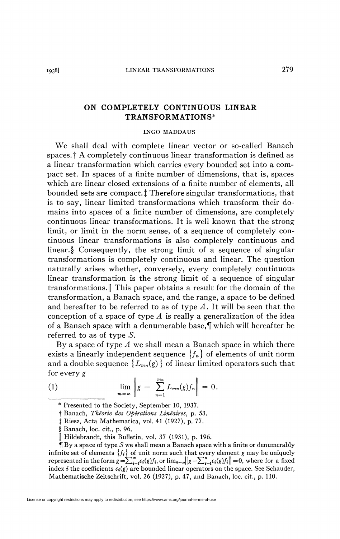## ON COMPLETELY CONTINUOUS LINEAR TRANSFORMATIONS\*

## INGO MADDAUS

We shall deal with complete linear vector or so-called Banach spaces, f A completely continuous linear transformation is defined as a linear transformation which carries every bounded set into a compact set. In spaces of a finite number of dimensions, that is, spaces which are linear closed extensions of a finite number of elements, all bounded sets are compact.<sup>†</sup> Therefore singular transformations, that is to say, linear limited transformations which transform their domains into spaces of a finite number of dimensions, are completely continuous linear transformations. It is well known that the strong limit, or limit in the norm sense, of a sequence of completely continuous linear transformations is also completely continuous and linear.§ Consequently, the strong limit of a sequence of singular transformations is completely continuous and linear. The question naturally arises whether, conversely, every completely continuous linear transformation is the strong limit of a sequence of singular transformations.|| This paper obtains a result for the domain of the transformation, a Banach space, and the range, a space to be defined and hereafter to be referred to as of type *A.* It will be seen that the conception of a space of type *A* is really a generalization of the idea of a Banach space with a denumerable base, which will hereafter be referred to as of type  $S$ .

By a space of type *A* we shall mean a Banach space in which there exists a linearly independent sequence  ${f_n}$  of elements of unit norm and a double sequence  ${L_{mn}(g)}$  of linear limited operators such that for every *g* 

(1) 
$$
\lim_{m = \infty} \left\| g - \sum_{n=1}^{m_n} L_{mn}(g) f_n \right\| = 0.
$$

t Banach, *Théorie des Opérations Linéaires,* p. 53.

j Riesz, Acta Mathematica, vol. 41 (1927), p. 77.

§ Banach, loc. cit., p. 96.

|| Hildebrandt, this Bulletin, vol. 37 (1931), p. 196.

1f By a space of type *S* we shall mean a Banach space with a finite or denumerably infinite set of elements  ${f_i}$  of unit norm such that every element g may be uniquely represented in the form  $g = \sum_{i=1}^{\infty} c_i(g) f_i$ , or  $\lim_{n=\infty} ||g - \sum_{i=1}^{n} c_i(g) f_i|| = 0$ , where for a fixed index *i* the coefficients  $c_i(g)$  are bounded linear operators on the space. See Schauder, Mathematische Zeitschrift, vol. 26 (1927), p. 47, and Banach, loc. cit., p. 110.

<sup>\*</sup> Presented to the Society, September 10, 1937.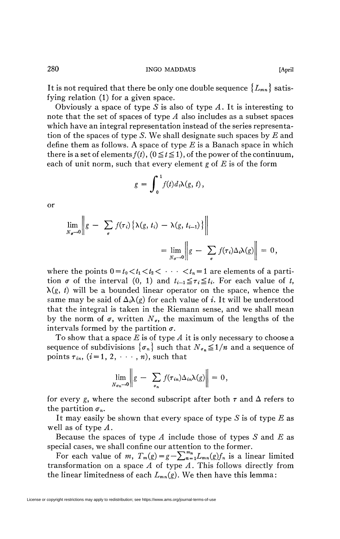Obviously a space of type *S* is also of type *A.* It is interesting to note that the set of spaces of type *A* also includes as a subset spaces which have an integral representation instead of the series representation of the spaces of type *S.* We shall designate such spaces by *E* and define them as follows. A space of type *E* is a Banach space in which there is a set of elements  $f(t)$ ,  $(0 \le t \le 1)$ , of the power of the continuum, each of unit norm, such that every element *g* of *E* is of the form

$$
g=\int_0^1 f(t)d_t\lambda(g, t),
$$

or

$$
\lim_{N_{\sigma}\to 0} \left\| g - \sum_{\sigma} f(\tau_i) \left\{ \lambda(g, t_i) - \lambda(g, t_{i-1}) \right\} \right\|
$$
  
= 
$$
\lim_{N_{\sigma}\to 0} \left\| g - \sum_{\sigma} f(\tau_i) \Delta_i \lambda(g) \right\| = 0,
$$

where the points  $0 = t_0 < t_1 < t_2 < \cdots < t_n = 1$  are elements of a partition  $\sigma$  of the interval (0, 1) and  $t_{i-1} \leq \tau_i \leq t_i$ . For each value of t,  $\lambda(g, t)$  will be a bounded linear operator on the space, whence the same may be said of  $\Delta_i \lambda(g)$  for each value of *i*. It will be understood that the integral is taken in the Riemann sense, and we shall mean by the norm of  $\sigma$ , written  $N_{\sigma}$ , the maximum of the lengths of the intervals formed by the partition  $\sigma$ .

To show that a space *E* is of type *A* it is only necessary to choose a sequence of subdivisions  $\{\sigma_n\}$  such that  $N_{\sigma_n} \leq 1/n$  and a sequence of points  $\tau_{in}$ ,  $(i=1, 2, \cdots, n)$ , such that

$$
\lim_{N_{\sigma n}\to 0}\bigg\|g - \sum_{\sigma_n} f(\tau_{in})\Delta_{in}\lambda(g)\bigg\| = 0,
$$

for every *g*, where the second subscript after both  $\tau$  and  $\Delta$  refers to the partition  $\sigma_n$ .

It may easily be shown that every space of type *S* is of type *E* as well as of type *A*.

Because the spaces of type *A* include those of types *S* and *E* as special cases, we shall confine our attention to the former.

For each value of *m*,  $T_m(g) = g - \sum_{n=1}^{m_n} L_{mn}(g) f_n$  is a linear limited transformation on a space *A* of type *A,* This follows directly from the linear limitedness of each  $L_{mn}(g)$ . We then have this lemma: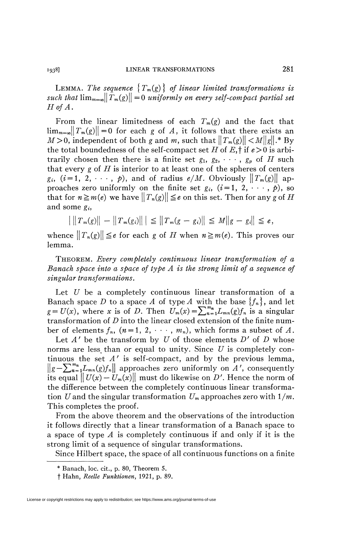LEMMA. The sequence  $\{T_m(g)\}\$  of linear limited transformations is *such that*  $\lim_{m\to\infty}||T_m(g)|| = 0$  uniformly on every self-compact partial set *Hof A.* 

From the linear limitedness of each *Tm(g)* and the fact that  $\lim_{m=\infty}||T_m(g)|| = 0$  for each g of A, it follows that there exists an  $M > 0$ , independent of both g and m, such that  $||T_m(g)|| < M||g||$ .\* By the total boundedness of the self-compact set  $H$  of  $E$ , if  $e > 0$  is arbitrarily chosen then there is a finite set  $g_1, g_2, \dots, g_p$  of *H* such that every *g* of *H* is interior to at least one of the spheres of centers  $g_i$ ,  $(i=1, 2, \cdots, p)$ , and of radius  $e/M$ . Obviously  $||T_m(g)||$  approaches zero uniformly on the finite set  $g_i$ ,  $(i=1, 2, \dots, p)$ , so that for  $n \geq m(e)$  we have  $|| T_n(g)|| \leq e$  on this set. Then for any g of H and some  $e_i$ ,

$$
\left| \|T_m(g)\| - \|T_m(g_i)\| \right| \leq \|T_m(g - g_i)\| \leq M \|g - g_i\| \leq \epsilon,
$$

whence  $||T_n(g)|| \leq e$  for each g of H when  $n \geq m(e)$ . This proves our lemma.

THEOREM. *Every completely continuous linear transformation of a Banach space into a space of type A is the strong limit of a sequence of singular transformations.* 

Let *U* be a completely continuous linear transformation of a Banach space *D* to a space *A* of type *A* with the base {*fn}*, and let  $g = U(x)$ , where *x* is of *D*. Then  $U_m(x) = \sum_{n=1}^{m} L_{mn}(g) f_n$  is a singular transformation of *D* into the linear closed extension of the finite number of elements  $f_n$ ,  $(n = 1, 2, \dots, m_n)$ , which forms a subset of A.

Let  $A'$  be the transform by  $U$  of those elements  $D'$  of  $D$  whose norms are less, than or equal to unity. Since *U* is completely continuous the set *A'* is self-compact, and by the previous lemma,  $||g-\sum_{n=1}^{m_n}L_{mn}(g)f_n||$  approaches zero uniformly on A', consequently its equal  $||U(x) - U_m(x)||$  must do likewise on D'. Hence the norm of the difference between the completely continuous linear transformation U and the singular transformation  $U_m$  approaches zero with  $1/m$ . This completes the proof.

From the above theorem and the observations of the introduction it follows directly that a linear transformation of a Banach space to a space of type *A* is completely continuous if and only if it is the strong limit of a sequence of singular transformations.

Since Hilbert space, the space of all continuous functions on a finite

<sup>\*</sup> Banach, loc. cit., p. 80, Theorem 5.

f Hahn, *Réelle Funktionen,* 1921, p. 89.